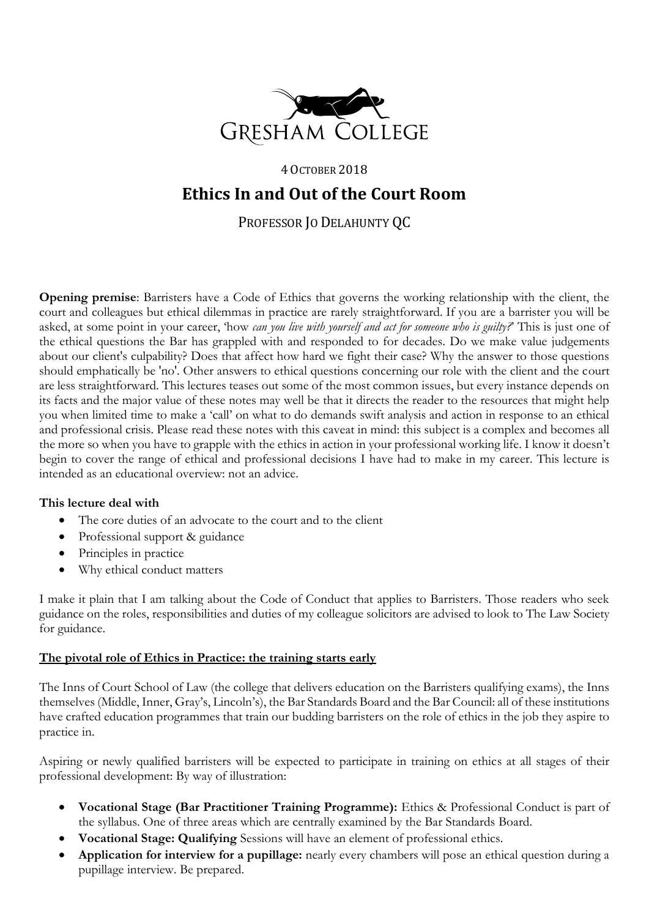

# 4 OCTOBER 2018 **Ethics In and Out of the Court Room**

PROFESSOR JO DELAHUNTY QC

**Opening premise**: Barristers have a Code of Ethics that governs the working relationship with the client, the court and colleagues but ethical dilemmas in practice are rarely straightforward. If you are a barrister you will be asked, at some point in your career, 'how *can you live with yourself and act for someone who is guilty?*' This is just one of the ethical questions the Bar has grappled with and responded to for decades. Do we make value judgements about our client's culpability? Does that affect how hard we fight their case? Why the answer to those questions should emphatically be 'no'. Other answers to ethical questions concerning our role with the client and the court are less straightforward. This lectures teases out some of the most common issues, but every instance depends on its facts and the major value of these notes may well be that it directs the reader to the resources that might help you when limited time to make a 'call' on what to do demands swift analysis and action in response to an ethical and professional crisis. Please read these notes with this caveat in mind: this subject is a complex and becomes all the more so when you have to grapple with the ethics in action in your professional working life. I know it doesn't begin to cover the range of ethical and professional decisions I have had to make in my career. This lecture is intended as an educational overview: not an advice.

# **This lecture deal with**

- The core duties of an advocate to the court and to the client
- Professional support & guidance
- Principles in practice
- Why ethical conduct matters

I make it plain that I am talking about the Code of Conduct that applies to Barristers. Those readers who seek guidance on the roles, responsibilities and duties of my colleague solicitors are advised to look to The Law Society for guidance.

#### **The pivotal role of Ethics in Practice: the training starts early**

The Inns of Court School of Law (the college that delivers education on the Barristers qualifying exams), the Inns themselves (Middle, Inner, Gray's, Lincoln's), the Bar Standards Board and the Bar Council: all of these institutions have crafted education programmes that train our budding barristers on the role of ethics in the job they aspire to practice in.

Aspiring or newly qualified barristers will be expected to participate in training on ethics at all stages of their professional development: By way of illustration:

- **Vocational Stage (Bar Practitioner Training Programme):** Ethics & Professional Conduct is part of the syllabus. One of three areas which are centrally examined by the Bar Standards Board.
- **Vocational Stage: Qualifying** Sessions will have an element of professional ethics.
- **Application for interview for a pupillage:** nearly every chambers will pose an ethical question during a pupillage interview. Be prepared.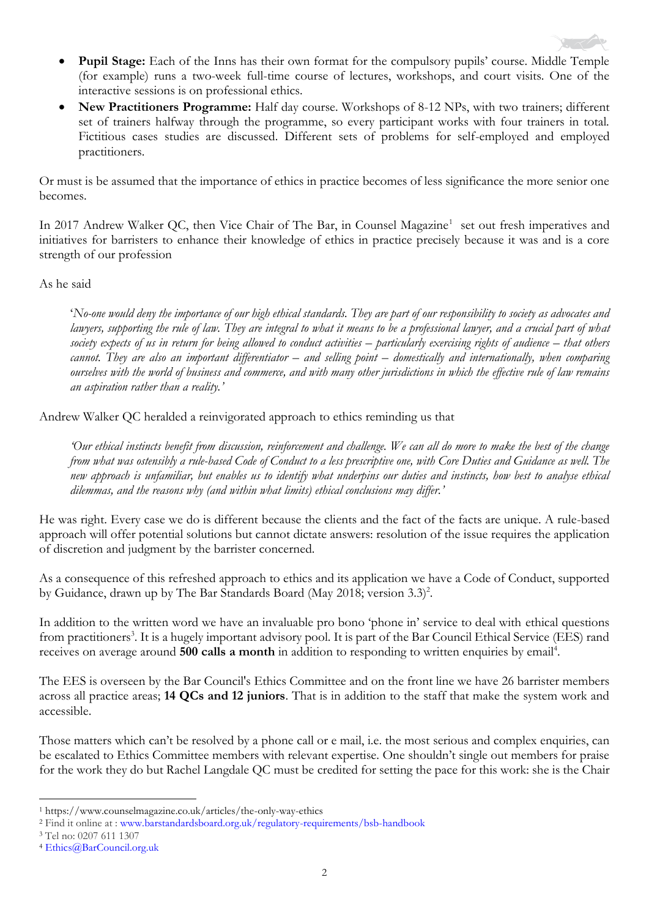

- **Pupil Stage:** Each of the Inns has their own format for the compulsory pupils' course. Middle Temple (for example) runs a two-week full-time course of lectures, workshops, and court visits. One of the interactive sessions is on professional ethics.
- **New Practitioners Programme:** Half day course. Workshops of 8-12 NPs, with two trainers; different set of trainers halfway through the programme, so every participant works with four trainers in total. Fictitious cases studies are discussed. Different sets of problems for self-employed and employed practitioners.

Or must is be assumed that the importance of ethics in practice becomes of less significance the more senior one becomes.

In 2017 Andrew Walker QC, then Vice Chair of The Bar, in Counsel Magazine<sup>1</sup> set out fresh imperatives and initiatives for barristers to enhance their knowledge of ethics in practice precisely because it was and is a core strength of our profession

#### As he said

'*No-one would deny the importance of our high ethical standards. They are part of our responsibility to society as advocates and*  lawyers, supporting the rule of law. They are integral to what it means to be a professional lawyer, and a crucial part of what *society expects of us in return for being allowed to conduct activities – particularly exercising rights of audience – that others cannot. They are also an important differentiator – and selling point – domestically and internationally, when comparing ourselves with the world of business and commerce, and with many other jurisdictions in which the effective rule of law remains an aspiration rather than a reality.'*

Andrew Walker QC heralded a reinvigorated approach to ethics reminding us that

*'Our ethical instincts benefit from discussion, reinforcement and challenge. We can all do more to make the best of the change from what was ostensibly a rule-based Code of Conduct to a less prescriptive one, with Core Duties and Guidance as well. The new approach is unfamiliar, but enables us to identify what underpins our duties and instincts, how best to analyse ethical dilemmas, and the reasons why (and within what limits) ethical conclusions may differ.'*

He was right. Every case we do is different because the clients and the fact of the facts are unique. A rule-based approach will offer potential solutions but cannot dictate answers: resolution of the issue requires the application of discretion and judgment by the barrister concerned.

As a consequence of this refreshed approach to ethics and its application we have a Code of Conduct, supported by Guidance, drawn up by The Bar Standards Board (May 2018; version 3.3)<sup>2</sup>.

In addition to the written word we have an invaluable pro bono 'phone in' service to deal with ethical questions from practitioners<sup>3</sup>. It is a hugely important advisory pool. It is part of the Bar Council Ethical Service (EES) rand receives on average around **500 calls a month** in addition to responding to written enquiries by email<sup>4</sup>.

The EES is overseen by the Bar Council's Ethics Committee and on the front line we have 26 barrister members across all practice areas; **14 QCs and 12 juniors**. That is in addition to the staff that make the system work and accessible.

Those matters which can't be resolved by a phone call or e mail, i.e. the most serious and complex enquiries, can be escalated to Ethics Committee members with relevant expertise. One shouldn't single out members for praise for the work they do but Rachel Langdale QC must be credited for setting the pace for this work: she is the Chair

1

<sup>1</sup> https://www.counselmagazine.co.uk/articles/the-only-way-ethics

<sup>2</sup> Find it online at : [www.barstandardsboard.org.uk/regulatory-requirements/bsb-handbook](http://www.barstandardsboard.org.uk/regulatory-requirements/bsb-handbook) 

<sup>3</sup> Tel no: 0207 611 1307

<sup>4</sup> [Ethics@BarCouncil.org.uk](mailto:Ethics@BarCouncil.org.uk)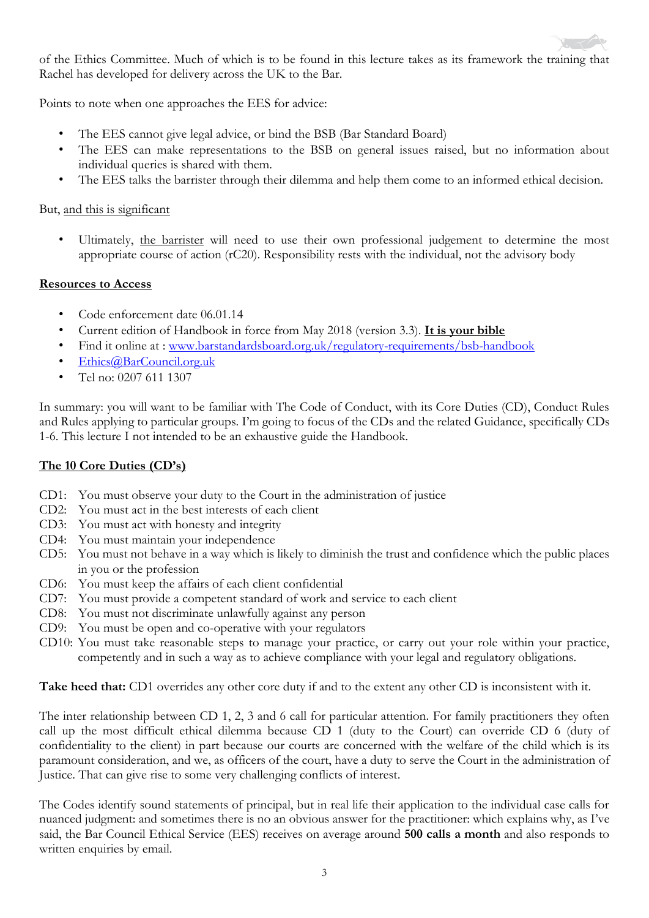of the Ethics Committee. Much of which is to be found in this lecture takes as its framework the training that Rachel has developed for delivery across the UK to the Bar.

Points to note when one approaches the EES for advice:

- The EES cannot give legal advice, or bind the BSB (Bar Standard Board)
- The EES can make representations to the BSB on general issues raised, but no information about individual queries is shared with them.
- The EES talks the barrister through their dilemma and help them come to an informed ethical decision.

# But, and this is significant

Ultimately, the barrister will need to use their own professional judgement to determine the most appropriate course of action (rC20). Responsibility rests with the individual, not the advisory body

# **Resources to Access**

- Code enforcement date 06.01.14
- Current edition of Handbook in force from May 2018 (version 3.3). **It is your bible**
- Find it online at : www.barstandardsboard.org.uk/regulatory-requirements/bsb-handbook
- [Ethics@BarCouncil.org.uk](mailto:Ethics@BarCouncil.org.uk)
- Tel no: 0207 611 1307

In summary: you will want to be familiar with The Code of Conduct, with its Core Duties (CD), Conduct Rules and Rules applying to particular groups. I'm going to focus of the CDs and the related Guidance, specifically CDs 1-6. This lecture I not intended to be an exhaustive guide the Handbook.

# **The 10 Core Duties (CD's)**

- CD1: You must observe your duty to the Court in the administration of justice
- CD2: You must act in the best interests of each client
- CD3: You must act with honesty and integrity
- CD4: You must maintain your independence
- CD5: You must not behave in a way which is likely to diminish the trust and confidence which the public places in you or the profession
- CD6: You must keep the affairs of each client confidential
- CD7: You must provide a competent standard of work and service to each client
- CD8: You must not discriminate unlawfully against any person
- CD9: You must be open and co-operative with your regulators
- CD10: You must take reasonable steps to manage your practice, or carry out your role within your practice, competently and in such a way as to achieve compliance with your legal and regulatory obligations.

Take heed that: CD1 overrides any other core duty if and to the extent any other CD is inconsistent with it.

The inter relationship between CD 1, 2, 3 and 6 call for particular attention. For family practitioners they often call up the most difficult ethical dilemma because CD 1 (duty to the Court) can override CD 6 (duty of confidentiality to the client) in part because our courts are concerned with the welfare of the child which is its paramount consideration, and we, as officers of the court, have a duty to serve the Court in the administration of Justice. That can give rise to some very challenging conflicts of interest.

The Codes identify sound statements of principal, but in real life their application to the individual case calls for nuanced judgment: and sometimes there is no an obvious answer for the practitioner: which explains why, as I've said, the Bar Council Ethical Service (EES) receives on average around **500 calls a month** and also responds to written enquiries by email.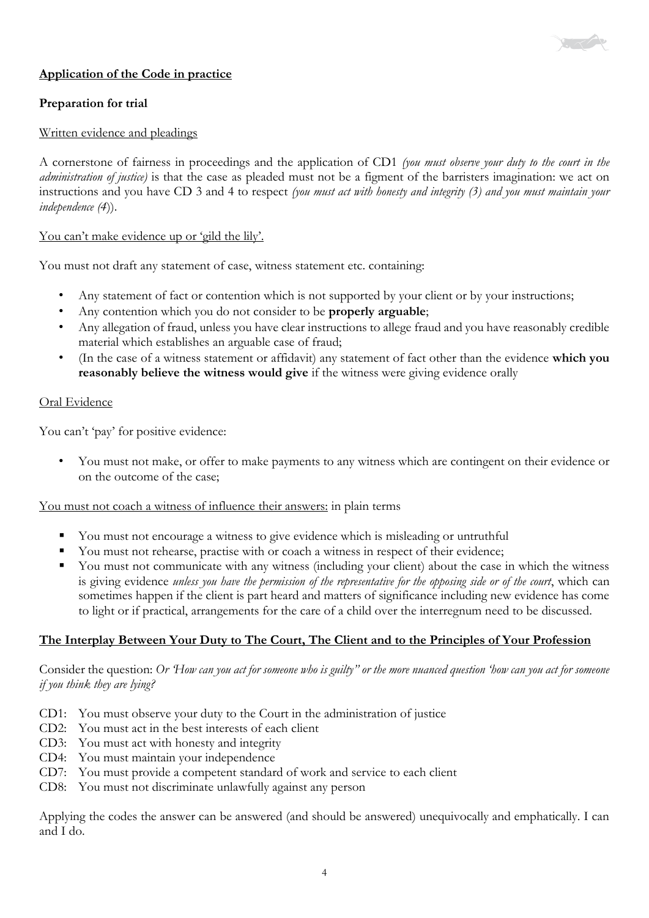# **Application of the Code in practice**

### **Preparation for trial**

#### Written evidence and pleadings

A cornerstone of fairness in proceedings and the application of CD1 *(you must observe your duty to the court in the administration of justice)* is that the case as pleaded must not be a figment of the barristers imagination: we act on instructions and you have CD 3 and 4 to respect *(you must act with honesty and integrity (3) and you must maintain your independence (4*)).

 $\sim$ 

#### You can't make evidence up or 'gild the lily'.

You must not draft any statement of case, witness statement etc. containing:

- Any statement of fact or contention which is not supported by your client or by your instructions;
- Any contention which you do not consider to be **properly arguable**;
- Any allegation of fraud, unless you have clear instructions to allege fraud and you have reasonably credible material which establishes an arguable case of fraud;
- (In the case of a witness statement or affidavit) any statement of fact other than the evidence **which you reasonably believe the witness would give** if the witness were giving evidence orally

#### Oral Evidence

You can't 'pay' for positive evidence:

• You must not make, or offer to make payments to any witness which are contingent on their evidence or on the outcome of the case;

You must not coach a witness of influence their answers: in plain terms

- You must not encourage a witness to give evidence which is misleading or untruthful
- You must not rehearse, practise with or coach a witness in respect of their evidence;
- You must not communicate with any witness (including your client) about the case in which the witness is giving evidence *unless you have the permission of the representative for the opposing side or of the court*, which can sometimes happen if the client is part heard and matters of significance including new evidence has come to light or if practical, arrangements for the care of a child over the interregnum need to be discussed.

#### **The Interplay Between Your Duty to The Court, The Client and to the Principles of Your Profession**

Consider the question: *Or 'How can you act for someone who is guilty" or the more nuanced question 'how can you act for someone if you think they are lying?*

- CD1: You must observe your duty to the Court in the administration of justice
- CD2: You must act in the best interests of each client
- CD3: You must act with honesty and integrity
- CD4: You must maintain your independence
- CD7: You must provide a competent standard of work and service to each client
- CD8: You must not discriminate unlawfully against any person

Applying the codes the answer can be answered (and should be answered) unequivocally and emphatically. I can and I do.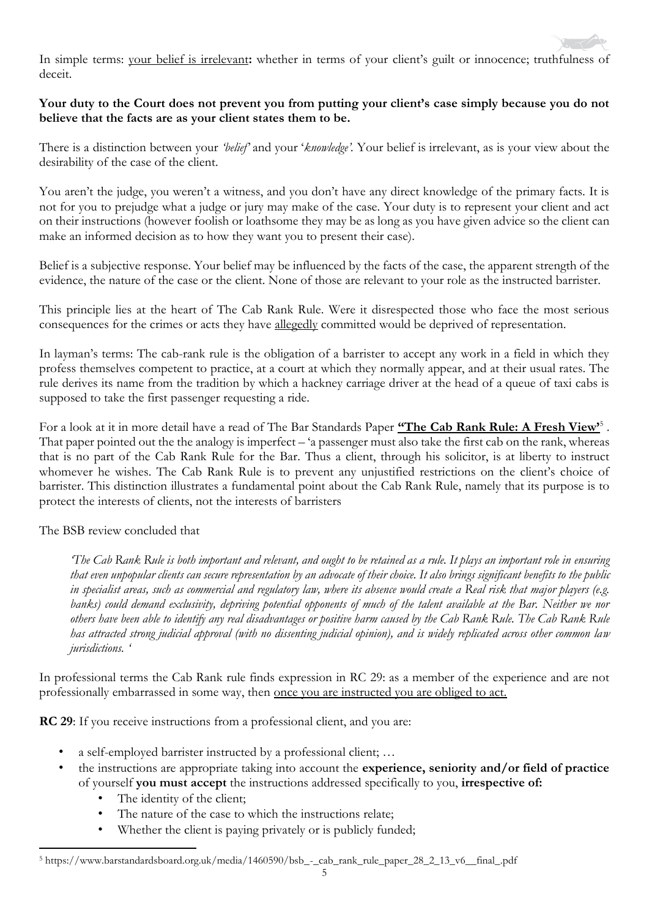In simple terms: your belief is irrelevant: whether in terms of your client's guilt or innocence; truthfulness of deceit.

### **Your duty to the Court does not prevent you from putting your client's case simply because you do not believe that the facts are as your client states them to be.**

There is a distinction between your *'belief'* and your '*knowledge'.* Your belief is irrelevant, as is your view about the desirability of the case of the client.

You aren't the judge, you weren't a witness, and you don't have any direct knowledge of the primary facts. It is not for you to prejudge what a judge or jury may make of the case. Your duty is to represent your client and act on their instructions (however foolish or loathsome they may be as long as you have given advice so the client can make an informed decision as to how they want you to present their case).

Belief is a subjective response. Your belief may be influenced by the facts of the case, the apparent strength of the evidence, the nature of the case or the client. None of those are relevant to your role as the instructed barrister.

This principle lies at the heart of The Cab Rank Rule. Were it disrespected those who face the most serious consequences for the crimes or acts they have allegedly committed would be deprived of representation.

In layman's terms: The cab-rank rule is the obligation of a barrister to accept any work in a field in which they profess themselves competent to practice, at a court at which they normally appear, and at their usual rates. The rule derives its name from the tradition by which a hackney carriage driver at the head of a queue of taxi cabs is supposed to take the first passenger requesting a ride.

For a look at it in more detail have a read of The Bar Standards Paper **"The Cab Rank Rule: A Fresh View'**<sup>5</sup> . That paper pointed out the the analogy is imperfect – 'a passenger must also take the first cab on the rank, whereas that is no part of the Cab Rank Rule for the Bar. Thus a client, through his solicitor, is at liberty to instruct whomever he wishes. The Cab Rank Rule is to prevent any unjustified restrictions on the client's choice of barrister. This distinction illustrates a fundamental point about the Cab Rank Rule, namely that its purpose is to protect the interests of clients, not the interests of barristers

The BSB review concluded that

*The Cab Rank Rule is both important and relevant, and ought to be retained as a rule. It plays an important role in ensuring that even unpopular clients can secure representation by an advocate of their choice. It also brings significant benefits to the public in specialist areas, such as commercial and regulatory law, where its absence would create a Real risk that major players (e.g. banks) could demand exclusivity, depriving potential opponents of much of the talent available at the Bar. Neither we nor others have been able to identify any real disadvantages or positive harm caused by the Cab Rank Rule. The Cab Rank Rule has attracted strong judicial approval (with no dissenting judicial opinion), and is widely replicated across other common law jurisdictions. '*

In professional terms the Cab Rank rule finds expression in RC 29: as a member of the experience and are not professionally embarrassed in some way, then once you are instructed you are obliged to act.

**RC 29**: If you receive instructions from a professional client, and you are:

- a self-employed barrister instructed by a professional client; ...
- the instructions are appropriate taking into account the **experience, seniority and/or field of practice**  of yourself **you must accept** the instructions addressed specifically to you, **irrespective of:**
	- The identity of the client;
	- The nature of the case to which the instructions relate;
	- Whether the client is paying privately or is publicly funded;

<sup>1</sup> <sup>5</sup> https://www.barstandardsboard.org.uk/media/1460590/bsb\_-\_cab\_rank\_rule\_paper\_28\_2\_13\_v6\_\_final\_.pdf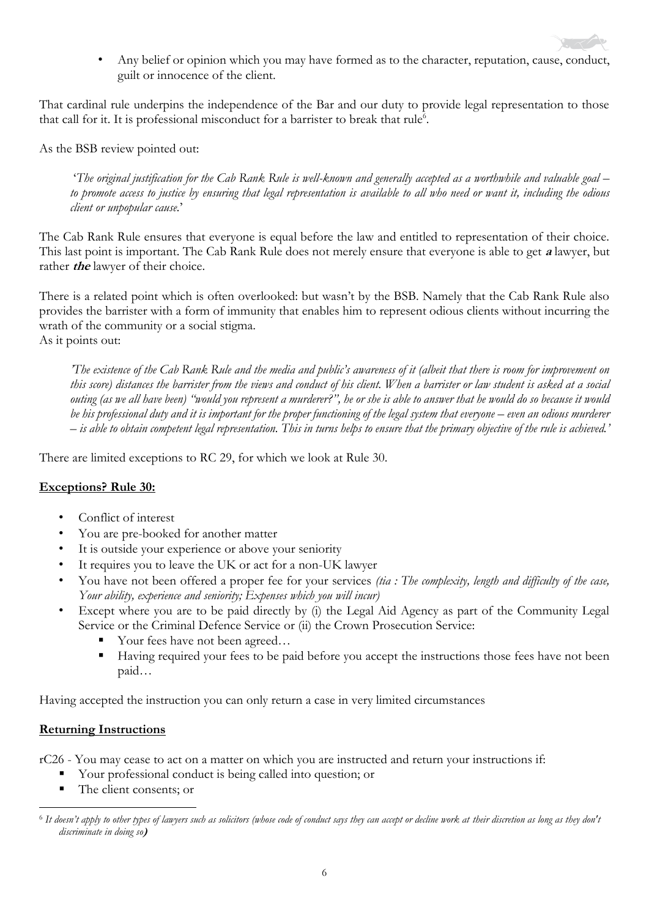• Any belief or opinion which you may have formed as to the character, reputation, cause, conduct, guilt or innocence of the client.

That cardinal rule underpins the independence of the Bar and our duty to provide legal representation to those that call for it. It is professional misconduct for a barrister to break that rule<sup>6</sup>.

As the BSB review pointed out:

'*The original justification for the Cab Rank Rule is well-known and generally accepted as a worthwhile and valuable goal – to promote access to justice by ensuring that legal representation is available to all who need or want it, including the odious client or unpopular cause.*'

The Cab Rank Rule ensures that everyone is equal before the law and entitled to representation of their choice. This last point is important. The Cab Rank Rule does not merely ensure that everyone is able to get **a** lawyer, but rather *the* lawyer of their choice.

There is a related point which is often overlooked: but wasn't by the BSB. Namely that the Cab Rank Rule also provides the barrister with a form of immunity that enables him to represent odious clients without incurring the wrath of the community or a social stigma. As it points out:

*'The existence of the Cab Rank Rule and the media and public's awareness of it (albeit that there is room for improvement on this score) distances the barrister from the views and conduct of his client. When a barrister or law student is asked at a social outing (as we all have been) "would you represent a murderer?", he or she is able to answer that he would do so because it would be his professional duty and it is important for the proper functioning of the legal system that everyone – even an odious murderer – is able to obtain competent legal representation. This in turns helps to ensure that the primary objective of the rule is achieved.'*

There are limited exceptions to RC 29, for which we look at Rule 30.

# **Exceptions? Rule 30:**

- Conflict of interest
- You are pre-booked for another matter
- It is outside your experience or above your seniority
- It requires you to leave the UK or act for a non-UK lawyer
- You have not been offered a proper fee for your services *(tia : The complexity, length and difficulty of the case, Your ability, experience and seniority; Expenses which you will incur)*
- Except where you are to be paid directly by (i) the Legal Aid Agency as part of the Community Legal Service or the Criminal Defence Service or (ii) the Crown Prosecution Service:
	- Your fees have not been agreed...
	- Having required your fees to be paid before you accept the instructions those fees have not been paid…

Having accepted the instruction you can only return a case in very limited circumstances

#### **Returning Instructions**

rC26 - You may cease to act on a matter on which you are instructed and return your instructions if:

- Your professional conduct is being called into question; or
- The client consents; or

<sup>1</sup> 6 *It doesn't apply to other types of lawyers such as solicitors (whose code of conduct says they can accept or decline work at their discretion as long as they don't discriminate in doing so***)**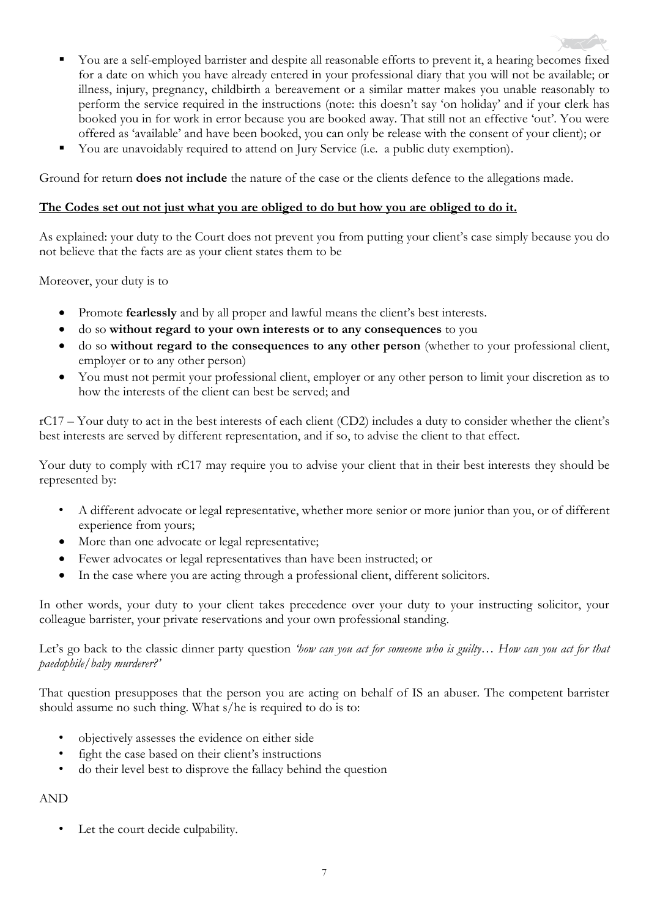- You are a self-employed barrister and despite all reasonable efforts to prevent it, a hearing becomes fixed for a date on which you have already entered in your professional diary that you will not be available; or illness, injury, pregnancy, childbirth a bereavement or a similar matter makes you unable reasonably to perform the service required in the instructions (note: this doesn't say 'on holiday' and if your clerk has booked you in for work in error because you are booked away. That still not an effective 'out'. You were offered as 'available' and have been booked, you can only be release with the consent of your client); or
- You are unavoidably required to attend on Jury Service (i.e. a public duty exemption).

Ground for return **does not include** the nature of the case or the clients defence to the allegations made.

#### **The Codes set out not just what you are obliged to do but how you are obliged to do it.**

As explained: your duty to the Court does not prevent you from putting your client's case simply because you do not believe that the facts are as your client states them to be

Moreover, your duty is to

- Promote **fearlessly** and by all proper and lawful means the client's best interests.
- do so **without regard to your own interests or to any consequences** to you
- do so **without regard to the consequences to any other person** (whether to your professional client, employer or to any other person)
- You must not permit your professional client, employer or any other person to limit your discretion as to how the interests of the client can best be served; and

rC17 – Your duty to act in the best interests of each client (CD2) includes a duty to consider whether the client's best interests are served by different representation, and if so, to advise the client to that effect.

Your duty to comply with rC17 may require you to advise your client that in their best interests they should be represented by:

- A different advocate or legal representative, whether more senior or more junior than you, or of different experience from yours;
- More than one advocate or legal representative;
- Fewer advocates or legal representatives than have been instructed; or
- In the case where you are acting through a professional client, different solicitors.

In other words, your duty to your client takes precedence over your duty to your instructing solicitor, your colleague barrister, your private reservations and your own professional standing.

Let's go back to the classic dinner party question *'how can you act for someone who is guilty… How can you act for that paedophile/baby murderer?'*

That question presupposes that the person you are acting on behalf of IS an abuser. The competent barrister should assume no such thing. What s/he is required to do is to:

- objectively assesses the evidence on either side
- fight the case based on their client's instructions
- do their level best to disprove the fallacy behind the question

# AND

Let the court decide culpability.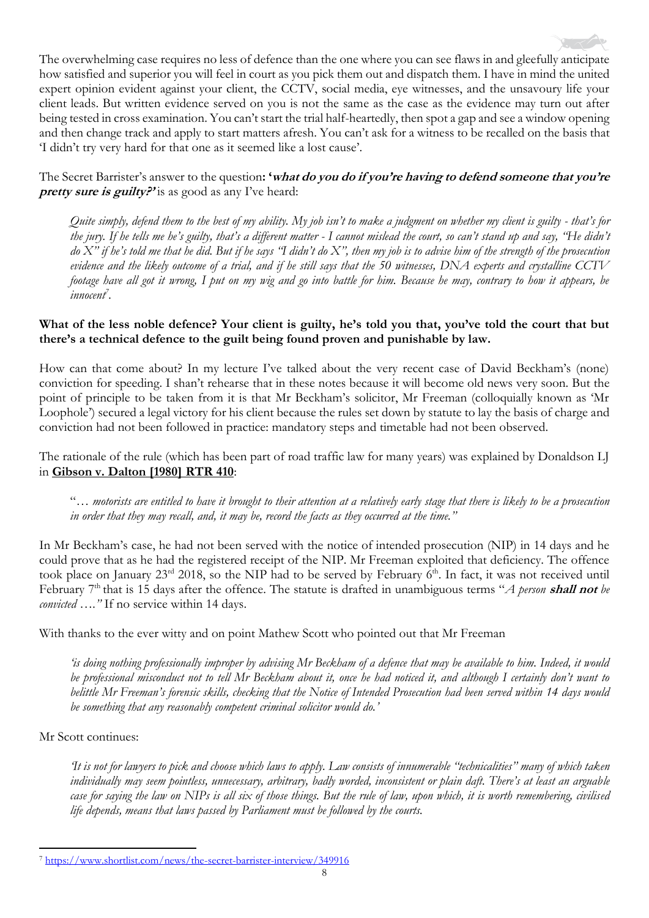The overwhelming case requires no less of defence than the one where you can see flaws in and gleefully anticipate how satisfied and superior you will feel in court as you pick them out and dispatch them. I have in mind the united expert opinion evident against your client, the CCTV, social media, eye witnesses, and the unsavoury life your client leads. But written evidence served on you is not the same as the case as the evidence may turn out after being tested in cross examination. You can't start the trial half-heartedly, then spot a gap and see a window opening and then change track and apply to start matters afresh. You can't ask for a witness to be recalled on the basis that 'I didn't try very hard for that one as it seemed like a lost cause'.

The Secret Barrister's answer to the question**: 'what do you do if you're having to defend someone that you're pretty sure is guilty?'** is as good as any I've heard:

*Quite simply, defend them to the best of my ability. My job isn't to make a judgment on whether my client is guilty - that's for the jury. If he tells me he's guilty, that's a different matter - I cannot mislead the court, so can't stand up and say, "He didn't do X" if he's told me that he did. But if he says "I didn't do X", then my job is to advise him of the strength of the prosecution evidence and the likely outcome of a trial, and if he still says that the 50 witnesses, DNA experts and crystalline CCTV footage have all got it wrong, I put on my wig and go into battle for him. Because he may, contrary to how it appears, be innocent<sup>7</sup> .*

### What of the less noble defence? Your client is guilty, he's told you that, you've told the court that but **there's a technical defence to the guilt being found proven and punishable by law.**

How can that come about? In my lecture I've talked about the very recent case of David Beckham's (none) conviction for speeding. I shan't rehearse that in these notes because it will become old news very soon. But the point of principle to be taken from it is that Mr Beckham's solicitor, Mr Freeman (colloquially known as 'Mr Loophole') secured a legal victory for his client because the rules set down by statute to lay the basis of charge and conviction had not been followed in practice: mandatory steps and timetable had not been observed.

The rationale of the rule (which has been part of road traffic law for many years) was explained by Donaldson LJ in **Gibson v. Dalton [1980] RTR 410**:

"*… motorists are entitled to have it brought to their attention at a relatively early stage that there is likely to be a prosecution in order that they may recall, and, it may be, record the facts as they occurred at the time."*

In Mr Beckham's case, he had not been served with the notice of intended prosecution (NIP) in 14 days and he could prove that as he had the registered receipt of the NIP. Mr Freeman exploited that deficiency. The offence took place on January  $23^{rd}$  2018, so the NIP had to be served by February  $6^{th}$ . In fact, it was not received until February 7th that is 15 days after the offence. The statute is drafted in unambiguous terms "*A person* **shall not** *be convicted …."* If no service within 14 days.

With thanks to the ever witty and on point Mathew Scott who pointed out that Mr Freeman

*'is doing nothing professionally improper by advising Mr Beckham of a defence that may be available to him. Indeed, it would be professional misconduct not to tell Mr Beckham about it, once he had noticed it, and although I certainly don't want to belittle Mr Freeman's forensic skills, checking that the Notice of Intended Prosecution had been served within 14 days would be something that any reasonably competent criminal solicitor would do.'*

#### Mr Scott continues:

*'It is not for lawyers to pick and choose which laws to apply. Law consists of innumerable "technicalities" many of which taken individually may seem pointless, unnecessary, arbitrary, badly worded, inconsistent or plain daft. There's at least an arguable case for saying the law on NIPs is all six of those things. But the rule of law, upon which, it is worth remembering, civilised life depends, means that laws passed by Parliament must be followed by the courts.* 

<sup>1</sup> <sup>7</sup> <https://www.shortlist.com/news/the-secret-barrister-interview/349916>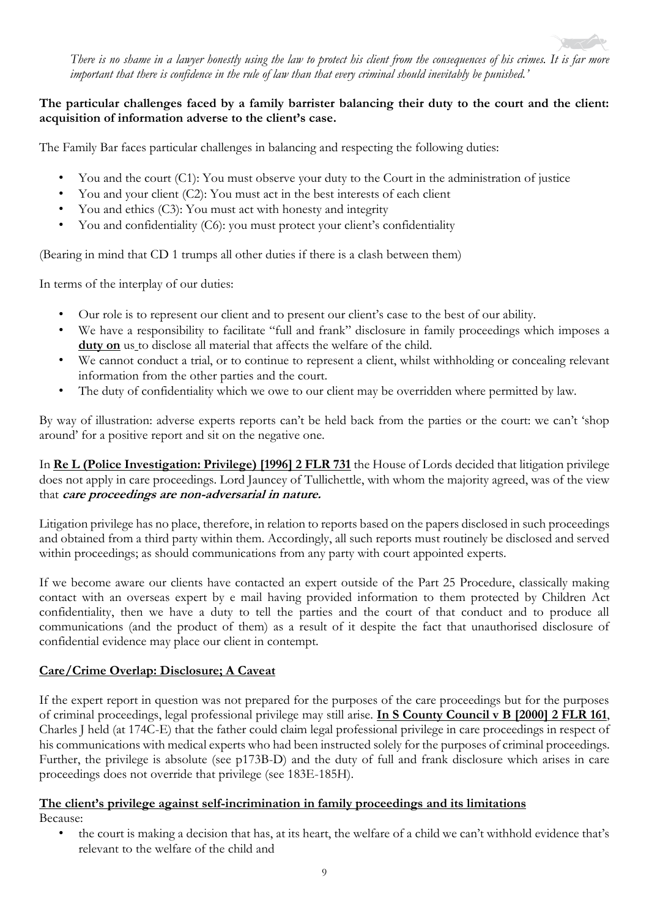

# **The particular challenges faced by a family barrister balancing their duty to the court and the client: acquisition of information adverse to the client's case.**

The Family Bar faces particular challenges in balancing and respecting the following duties:

- You and the court (C1): You must observe your duty to the Court in the administration of justice
- You and your client (C2): You must act in the best interests of each client
- You and ethics (C3): You must act with honesty and integrity
- You and confidentiality (C6): you must protect your client's confidentiality

(Bearing in mind that CD 1 trumps all other duties if there is a clash between them)

In terms of the interplay of our duties:

- Our role is to represent our client and to present our client's case to the best of our ability.
- We have a responsibility to facilitate "full and frank" disclosure in family proceedings which imposes a duty on us to disclose all material that affects the welfare of the child.
- We cannot conduct a trial, or to continue to represent a client, whilst withholding or concealing relevant information from the other parties and the court.
- The duty of confidentiality which we owe to our client may be overridden where permitted by law.

By way of illustration: adverse experts reports can't be held back from the parties or the court: we can't 'shop around' for a positive report and sit on the negative one.

In **Re L (Police Investigation: Privilege) [1996] 2 FLR 731** the House of Lords decided that litigation privilege does not apply in care proceedings. Lord Jauncey of Tullichettle, with whom the majority agreed, was of the view that **care proceedings are non-adversarial in nature.** 

Litigation privilege has no place, therefore, in relation to reports based on the papers disclosed in such proceedings and obtained from a third party within them. Accordingly, all such reports must routinely be disclosed and served within proceedings; as should communications from any party with court appointed experts.

If we become aware our clients have contacted an expert outside of the Part 25 Procedure, classically making contact with an overseas expert by e mail having provided information to them protected by Children Act confidentiality, then we have a duty to tell the parties and the court of that conduct and to produce all communications (and the product of them) as a result of it despite the fact that unauthorised disclosure of confidential evidence may place our client in contempt.

# **Care/Crime Overlap: Disclosure; A Caveat**

If the expert report in question was not prepared for the purposes of the care proceedings but for the purposes of criminal proceedings, legal professional privilege may still arise. **In S County Council v B [2000] 2 FLR 161**, Charles J held (at 174C-E) that the father could claim legal professional privilege in care proceedings in respect of his communications with medical experts who had been instructed solely for the purposes of criminal proceedings. Further, the privilege is absolute (see p173B-D) and the duty of full and frank disclosure which arises in care proceedings does not override that privilege (see 183E-185H).

#### **The client's privilege against self-incrimination in family proceedings and its limitations**  Because:

• the court is making a decision that has, at its heart, the welfare of a child we can't withhold evidence that's relevant to the welfare of the child and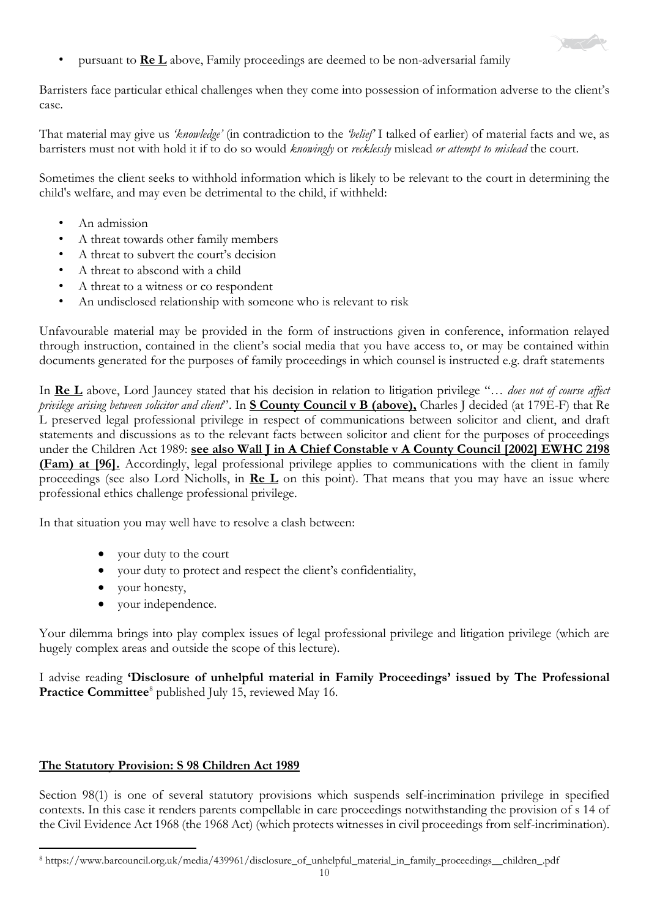

• pursuant to **Re L** above, Family proceedings are deemed to be non-adversarial family

Barristers face particular ethical challenges when they come into possession of information adverse to the client's case.

That material may give us *'knowledge'* (in contradiction to the *'belief'* I talked of earlier) of material facts and we, as barristers must not with hold it if to do so would *knowingly* or *recklessly* mislead *or attempt to mislead* the court.

Sometimes the client seeks to withhold information which is likely to be relevant to the court in determining the child's welfare, and may even be detrimental to the child, if withheld:

- An admission
- A threat towards other family members
- A threat to subvert the court's decision
- A threat to abscond with a child
- A threat to a witness or co respondent
- An undisclosed relationship with someone who is relevant to risk

Unfavourable material may be provided in the form of instructions given in conference, information relayed through instruction, contained in the client's social media that you have access to, or may be contained within documents generated for the purposes of family proceedings in which counsel is instructed e.g. draft statements

In **Re L** above, Lord Jauncey stated that his decision in relation to litigation privilege "… *does not of course affect privilege arising between solicitor and client*". In **S County Council v B (above),** Charles J decided (at 179E-F) that Re L preserved legal professional privilege in respect of communications between solicitor and client, and draft statements and discussions as to the relevant facts between solicitor and client for the purposes of proceedings under the Children Act 1989: **see also Wall J in A Chief Constable v A County Council [2002] EWHC 2198 (Fam) at [96].** Accordingly, legal professional privilege applies to communications with the client in family proceedings (see also Lord Nicholls, in **Re L** on this point). That means that you may have an issue where professional ethics challenge professional privilege.

In that situation you may well have to resolve a clash between:

- your duty to the court
- your duty to protect and respect the client's confidentiality,
- your honesty,
- your independence.

Your dilemma brings into play complex issues of legal professional privilege and litigation privilege (which are hugely complex areas and outside the scope of this lecture).

I advise reading **'Disclosure of unhelpful material in Family Proceedings' issued by The Professional**  Practice Committee<sup>8</sup> published July 15, reviewed May 16.

#### **The Statutory Provision: S 98 Children Act 1989**

Section 98(1) is one of several statutory provisions which suspends self-incrimination privilege in specified contexts. In this case it renders parents compellable in care proceedings notwithstanding the provision of s 14 of the Civil Evidence Act 1968 (the 1968 Act) (which protects witnesses in civil proceedings from self-incrimination).

<sup>1</sup> <sup>8</sup> https://www.barcouncil.org.uk/media/439961/disclosure\_of\_unhelpful\_material\_in\_family\_proceedings\_\_children\_.pdf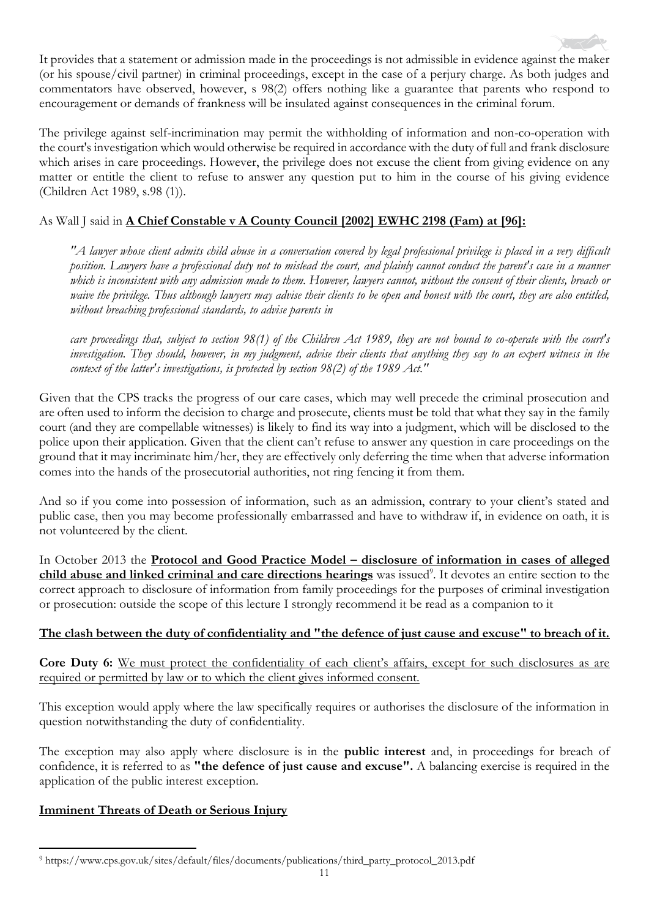It provides that a statement or admission made in the proceedings is not admissible in evidence against the maker (or his spouse/civil partner) in criminal proceedings, except in the case of a perjury charge. As both judges and commentators have observed, however, s 98(2) offers nothing like a guarantee that parents who respond to encouragement or demands of frankness will be insulated against consequences in the criminal forum.

The privilege against self-incrimination may permit the withholding of information and non-co-operation with the court's investigation which would otherwise be required in accordance with the duty of full and frank disclosure which arises in care proceedings. However, the privilege does not excuse the client from giving evidence on any matter or entitle the client to refuse to answer any question put to him in the course of his giving evidence (Children Act 1989, s.98 (1)).

# As Wall J said in **A Chief Constable v A County Council [2002] EWHC 2198 (Fam) at [96]:**

*"A lawyer whose client admits child abuse in a conversation covered by legal professional privilege is placed in a very difficult position. Lawyers have a professional duty not to mislead the court, and plainly cannot conduct the parent's case in a manner which is inconsistent with any admission made to them. However, lawyers cannot, without the consent of their clients, breach or waive the privilege. Thus although lawyers may advise their clients to be open and honest with the court, they are also entitled, without breaching professional standards, to advise parents in*

*care proceedings that, subject to section 98(1) of the Children Act 1989, they are not bound to co-operate with the court's investigation. They should, however, in my judgment, advise their clients that anything they say to an expert witness in the context of the latter's investigations, is protected by section 98(2) of the 1989 Act."* 

Given that the CPS tracks the progress of our care cases, which may well precede the criminal prosecution and are often used to inform the decision to charge and prosecute, clients must be told that what they say in the family court (and they are compellable witnesses) is likely to find its way into a judgment, which will be disclosed to the police upon their application. Given that the client can't refuse to answer any question in care proceedings on the ground that it may incriminate him/her, they are effectively only deferring the time when that adverse information comes into the hands of the prosecutorial authorities, not ring fencing it from them.

And so if you come into possession of information, such as an admission, contrary to your client's stated and public case, then you may become professionally embarrassed and have to withdraw if, in evidence on oath, it is not volunteered by the client.

In October 2013 the **Protocol and Good Practice Model – disclosure of information in cases of alleged** child abuse and linked criminal and care directions hearings was issued<sup>9</sup>. It devotes an entire section to the correct approach to disclosure of information from family proceedings for the purposes of criminal investigation or prosecution: outside the scope of this lecture I strongly recommend it be read as a companion to it

#### **The clash between the duty of confidentiality and "the defence of just cause and excuse" to breach of it.**

Core Duty 6: We must protect the confidentiality of each client's affairs, except for such disclosures as are required or permitted by law or to which the client gives informed consent.

This exception would apply where the law specifically requires or authorises the disclosure of the information in question notwithstanding the duty of confidentiality.

The exception may also apply where disclosure is in the **public interest** and, in proceedings for breach of confidence, it is referred to as **"the defence of just cause and excuse".** A balancing exercise is required in the application of the public interest exception.

# **Imminent Threats of Death or Serious Injury**

<sup>1</sup> <sup>9</sup> https://www.cps.gov.uk/sites/default/files/documents/publications/third\_party\_protocol\_2013.pdf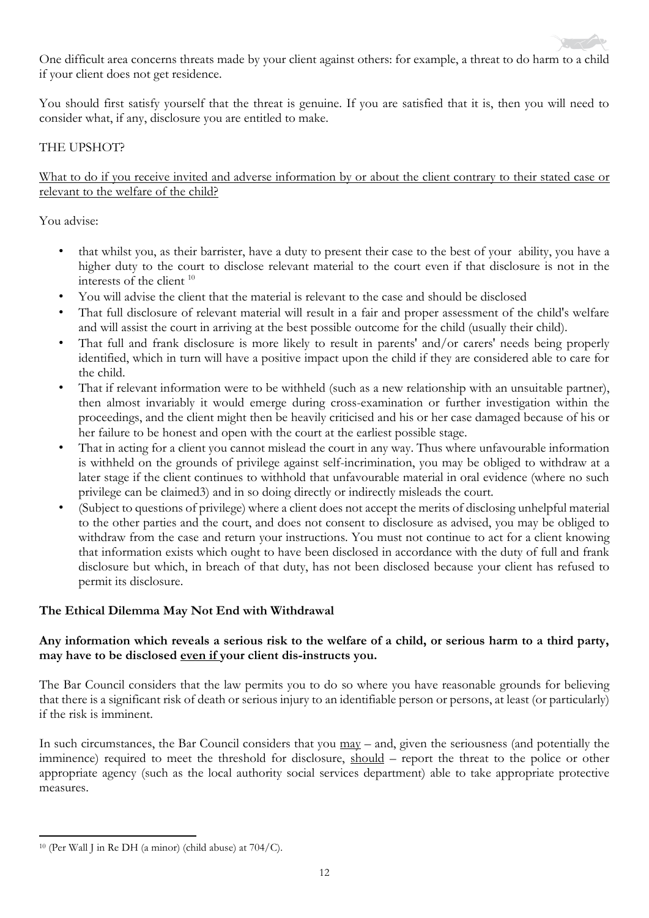One difficult area concerns threats made by your client against others: for example, a threat to do harm to a child if your client does not get residence.

You should first satisfy yourself that the threat is genuine. If you are satisfied that it is, then you will need to consider what, if any, disclosure you are entitled to make.

# THE UPSHOT?

### What to do if you receive invited and adverse information by or about the client contrary to their stated case or relevant to the welfare of the child?

You advise:

- that whilst you, as their barrister, have a duty to present their case to the best of your ability, you have a higher duty to the court to disclose relevant material to the court even if that disclosure is not in the interests of the client <sup>10</sup>
- You will advise the client that the material is relevant to the case and should be disclosed
- That full disclosure of relevant material will result in a fair and proper assessment of the child's welfare and will assist the court in arriving at the best possible outcome for the child (usually their child).
- That full and frank disclosure is more likely to result in parents' and/or carers' needs being properly identified, which in turn will have a positive impact upon the child if they are considered able to care for the child.
- That if relevant information were to be withheld (such as a new relationship with an unsuitable partner), then almost invariably it would emerge during cross-examination or further investigation within the proceedings, and the client might then be heavily criticised and his or her case damaged because of his or her failure to be honest and open with the court at the earliest possible stage.
- That in acting for a client you cannot mislead the court in any way. Thus where unfavourable information is withheld on the grounds of privilege against self-incrimination, you may be obliged to withdraw at a later stage if the client continues to withhold that unfavourable material in oral evidence (where no such privilege can be claimed3) and in so doing directly or indirectly misleads the court.
- (Subject to questions of privilege) where a client does not accept the merits of disclosing unhelpful material to the other parties and the court, and does not consent to disclosure as advised, you may be obliged to withdraw from the case and return your instructions. You must not continue to act for a client knowing that information exists which ought to have been disclosed in accordance with the duty of full and frank disclosure but which, in breach of that duty, has not been disclosed because your client has refused to permit its disclosure.

# **The Ethical Dilemma May Not End with Withdrawal**

# **Any information which reveals a serious risk to the welfare of a child, or serious harm to a third party, may have to be disclosed even if your client dis-instructs you.**

The Bar Council considers that the law permits you to do so where you have reasonable grounds for believing that there is a significant risk of death or serious injury to an identifiable person or persons, at least (or particularly) if the risk is imminent.

In such circumstances, the Bar Council considers that you  $\frac{may}{may}$  – and, given the seriousness (and potentially the imminence) required to meet the threshold for disclosure, should – report the threat to the police or other appropriate agency (such as the local authority social services department) able to take appropriate protective measures.

 $\overline{\phantom{a}}$  $10$  (Per Wall J in Re DH (a minor) (child abuse) at  $704/C$ ).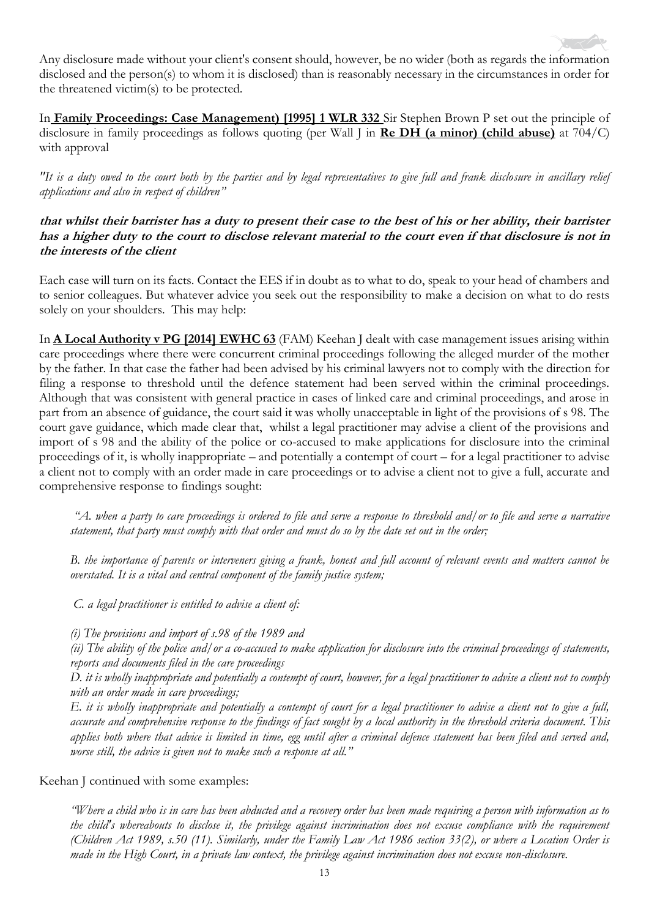

In **Family Proceedings: Case Management) [1995] 1 WLR 332** Sir Stephen Brown P set out the principle of disclosure in family proceedings as follows quoting (per Wall J in **Re DH (a minor) (child abuse)** at 704/C) with approval

*"It is a duty owed to the court both by the parties and by legal representatives to give full and frank disclosure in ancillary relief applications and also in respect of children"*

### **that whilst their barrister has a duty to present their case to the best of his or her ability, their barrister has a higher duty to the court to disclose relevant material to the court even if that disclosure is not in the interests of the client**

Each case will turn on its facts. Contact the EES if in doubt as to what to do, speak to your head of chambers and to senior colleagues. But whatever advice you seek out the responsibility to make a decision on what to do rests solely on your shoulders. This may help:

In **A Local Authority v PG [2014] EWHC 63** (FAM) Keehan J dealt with case management issues arising within care proceedings where there were concurrent criminal proceedings following the alleged murder of the mother by the father. In that case the father had been advised by his criminal lawyers not to comply with the direction for filing a response to threshold until the defence statement had been served within the criminal proceedings. Although that was consistent with general practice in cases of linked care and criminal proceedings, and arose in part from an absence of guidance, the court said it was wholly unacceptable in light of the provisions of s 98. The court gave guidance, which made clear that, whilst a legal practitioner may advise a client of the provisions and import of s 98 and the ability of the police or co-accused to make applications for disclosure into the criminal proceedings of it, is wholly inappropriate – and potentially a contempt of court – for a legal practitioner to advise a client not to comply with an order made in care proceedings or to advise a client not to give a full, accurate and comprehensive response to findings sought:

*"A. when a party to care proceedings is ordered to file and serve a response to threshold and/or to file and serve a narrative statement, that party must comply with that order and must do so by the date set out in the order;*

*B. the importance of parents or interveners giving a frank, honest and full account of relevant events and matters cannot be overstated. It is a vital and central component of the family justice system;*

*C. a legal practitioner is entitled to advise a client of:*

*(i) The provisions and import of s.98 of the 1989 and* 

*(ii) The ability of the police and/or a co-accused to make application for disclosure into the criminal proceedings of statements, reports and documents filed in the care proceedings*

*D. it is wholly inappropriate and potentially a contempt of court, however, for a legal practitioner to advise a client not to comply with an order made in care proceedings;* 

*E. it is wholly inappropriate and potentially a contempt of court for a legal practitioner to advise a client not to give a full, accurate and comprehensive response to the findings of fact sought by a local authority in the threshold criteria document. This applies both where that advice is limited in time, egg until after a criminal defence statement has been filed and served and, worse still, the advice is given not to make such a response at all."* 

Keehan J continued with some examples:

*"Where a child who is in care has been abducted and a recovery order has been made requiring a person with information as to the child's whereabouts to disclose it, the privilege against incrimination does not excuse compliance with the requirement (Children Act 1989, s.50 (11). Similarly, under the Family Law Act 1986 section 33(2), or where a Location Order is made in the High Court, in a private law context, the privilege against incrimination does not excuse non-disclosure.*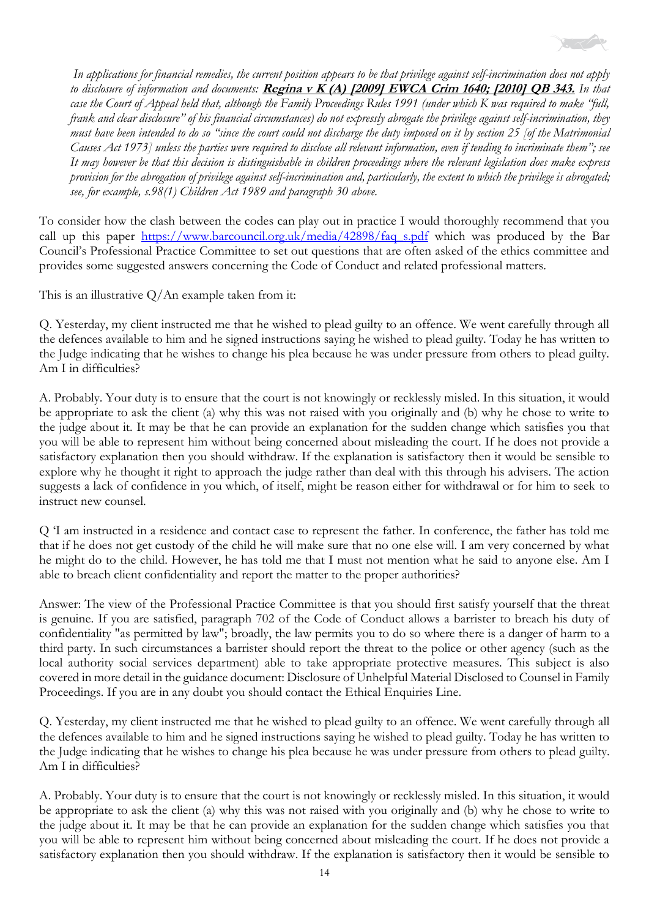

*In applications for financial remedies, the current position appears to be that privilege against self-incrimination does not apply to disclosure of information and documents:* **Regina v K (A) [2009] EWCA Crim 1640; [2010] QB 343.** *In that case the Court of Appeal held that, although the Family Proceedings Rules 1991 (under which K was required to make "full, frank and clear disclosure" of his financial circumstances) do not expressly abrogate the privilege against self-incrimination, they must have been intended to do so "since the court could not discharge the duty imposed on it by section 25 [of the Matrimonial Causes Act 1973] unless the parties were required to disclose all relevant information, even if tending to incriminate them"; see It may however be that this decision is distinguishable in children proceedings where the relevant legislation does make express provision for the abrogation of privilege against self-incrimination and, particularly, the extent to which the privilege is abrogated; see, for example, s.98(1) Children Act 1989 and paragraph 30 above.*

To consider how the clash between the codes can play out in practice I would thoroughly recommend that you call up this paper [https://www.barcouncil.org.uk/media/42898/faq\\_s.pdf](https://www.barcouncil.org.uk/media/42898/faq_s.pdf) which was produced by the Bar Council's Professional Practice Committee to set out questions that are often asked of the ethics committee and provides some suggested answers concerning the Code of Conduct and related professional matters.

This is an illustrative  $Q/An$  example taken from it:

Q. Yesterday, my client instructed me that he wished to plead guilty to an offence. We went carefully through all the defences available to him and he signed instructions saying he wished to plead guilty. Today he has written to the Judge indicating that he wishes to change his plea because he was under pressure from others to plead guilty. Am I in difficulties?

A. Probably. Your duty is to ensure that the court is not knowingly or recklessly misled. In this situation, it would be appropriate to ask the client (a) why this was not raised with you originally and (b) why he chose to write to the judge about it. It may be that he can provide an explanation for the sudden change which satisfies you that you will be able to represent him without being concerned about misleading the court. If he does not provide a satisfactory explanation then you should withdraw. If the explanation is satisfactory then it would be sensible to explore why he thought it right to approach the judge rather than deal with this through his advisers. The action suggests a lack of confidence in you which, of itself, might be reason either for withdrawal or for him to seek to instruct new counsel.

Q 'I am instructed in a residence and contact case to represent the father. In conference, the father has told me that if he does not get custody of the child he will make sure that no one else will. I am very concerned by what he might do to the child. However, he has told me that I must not mention what he said to anyone else. Am I able to breach client confidentiality and report the matter to the proper authorities?

Answer: The view of the Professional Practice Committee is that you should first satisfy yourself that the threat is genuine. If you are satisfied, paragraph 702 of the Code of Conduct allows a barrister to breach his duty of confidentiality "as permitted by law"; broadly, the law permits you to do so where there is a danger of harm to a third party. In such circumstances a barrister should report the threat to the police or other agency (such as the local authority social services department) able to take appropriate protective measures. This subject is also covered in more detail in the guidance document: Disclosure of Unhelpful Material Disclosed to Counsel in Family Proceedings. If you are in any doubt you should contact the Ethical Enquiries Line.

Q. Yesterday, my client instructed me that he wished to plead guilty to an offence. We went carefully through all the defences available to him and he signed instructions saying he wished to plead guilty. Today he has written to the Judge indicating that he wishes to change his plea because he was under pressure from others to plead guilty. Am I in difficulties?

A. Probably. Your duty is to ensure that the court is not knowingly or recklessly misled. In this situation, it would be appropriate to ask the client (a) why this was not raised with you originally and (b) why he chose to write to the judge about it. It may be that he can provide an explanation for the sudden change which satisfies you that you will be able to represent him without being concerned about misleading the court. If he does not provide a satisfactory explanation then you should withdraw. If the explanation is satisfactory then it would be sensible to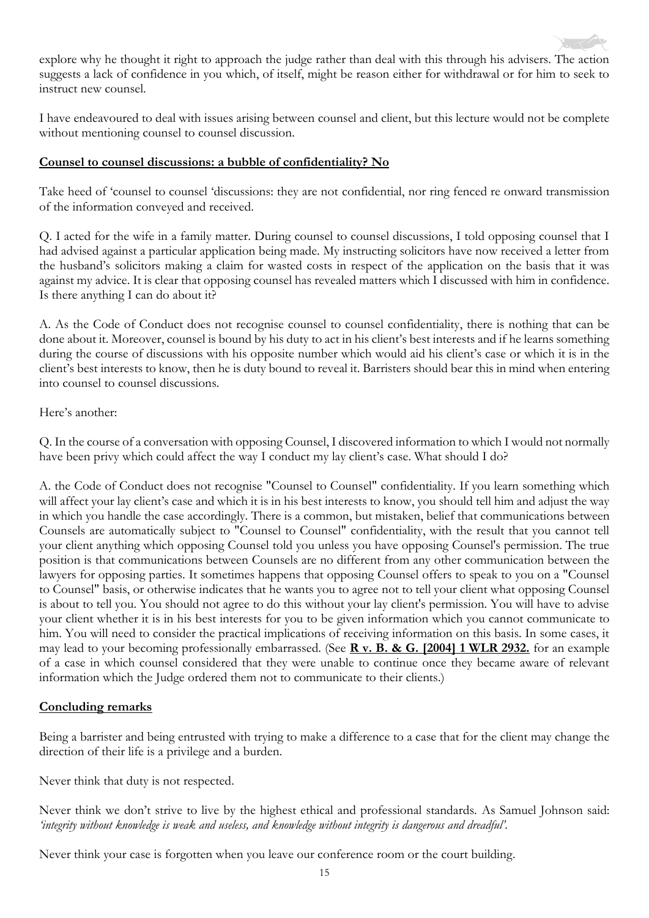explore why he thought it right to approach the judge rather than deal with this through his advisers. The action suggests a lack of confidence in you which, of itself, might be reason either for withdrawal or for him to seek to instruct new counsel.

I have endeavoured to deal with issues arising between counsel and client, but this lecture would not be complete without mentioning counsel to counsel discussion.

### **Counsel to counsel discussions: a bubble of confidentiality? No**

Take heed of 'counsel to counsel 'discussions: they are not confidential, nor ring fenced re onward transmission of the information conveyed and received.

Q. I acted for the wife in a family matter. During counsel to counsel discussions, I told opposing counsel that I had advised against a particular application being made. My instructing solicitors have now received a letter from the husband's solicitors making a claim for wasted costs in respect of the application on the basis that it was against my advice. It is clear that opposing counsel has revealed matters which I discussed with him in confidence. Is there anything I can do about it?

A. As the Code of Conduct does not recognise counsel to counsel confidentiality, there is nothing that can be done about it. Moreover, counsel is bound by his duty to act in his client's best interests and if he learns something during the course of discussions with his opposite number which would aid his client's case or which it is in the client's best interests to know, then he is duty bound to reveal it. Barristers should bear this in mind when entering into counsel to counsel discussions.

### Here's another:

Q. In the course of a conversation with opposing Counsel, I discovered information to which I would not normally have been privy which could affect the way I conduct my lay client's case. What should I do?

A. the Code of Conduct does not recognise "Counsel to Counsel" confidentiality. If you learn something which will affect your lay client's case and which it is in his best interests to know, you should tell him and adjust the way in which you handle the case accordingly. There is a common, but mistaken, belief that communications between Counsels are automatically subject to "Counsel to Counsel" confidentiality, with the result that you cannot tell your client anything which opposing Counsel told you unless you have opposing Counsel's permission. The true position is that communications between Counsels are no different from any other communication between the lawyers for opposing parties. It sometimes happens that opposing Counsel offers to speak to you on a "Counsel to Counsel" basis, or otherwise indicates that he wants you to agree not to tell your client what opposing Counsel is about to tell you. You should not agree to do this without your lay client's permission. You will have to advise your client whether it is in his best interests for you to be given information which you cannot communicate to him. You will need to consider the practical implications of receiving information on this basis. In some cases, it may lead to your becoming professionally embarrassed. (See **R v. B. & G. [2004] 1 WLR 2932.** for an example of a case in which counsel considered that they were unable to continue once they became aware of relevant information which the Judge ordered them not to communicate to their clients.)

#### **Concluding remarks**

Being a barrister and being entrusted with trying to make a difference to a case that for the client may change the direction of their life is a privilege and a burden.

Never think that duty is not respected.

Never think we don't strive to live by the highest ethical and professional standards. As Samuel Johnson said: *'integrity without knowledge is weak and useless, and knowledge without integrity is dangerous and dreadful'.* 

Never think your case is forgotten when you leave our conference room or the court building.